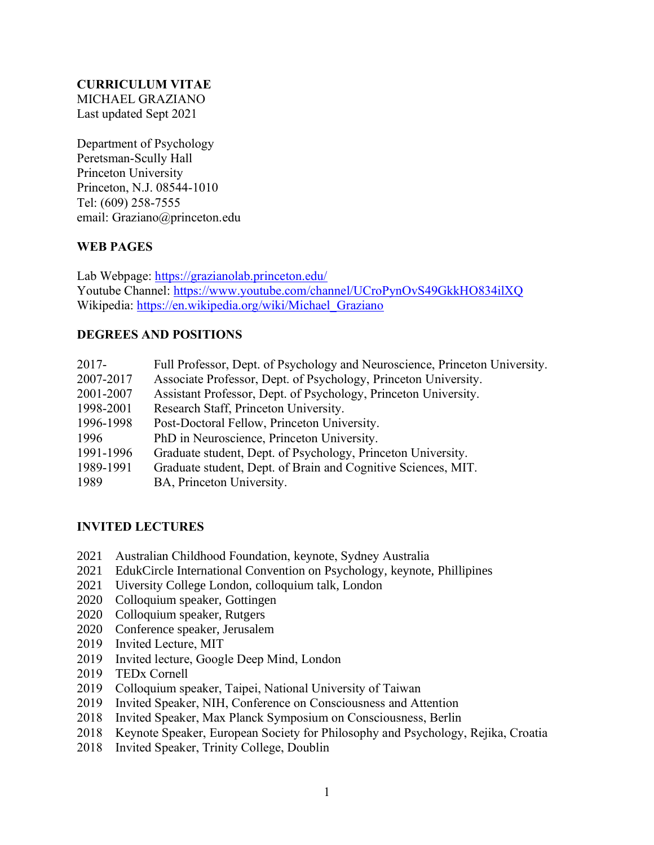## **CURRICULUM VITAE** MICHAEL GRAZIANO Last updated Sept 2021

Department of Psychology Peretsman-Scully Hall Princeton University Princeton, N.J. 08544-1010 Tel: (609) 258-7555 email: Graziano@princeton.edu

# **WEB PAGES**

Lab Webpage: <https://grazianolab.princeton.edu/> Youtube Channel: <https://www.youtube.com/channel/UCroPynOvS49GkkHO834ilXQ> Wikipedia: [https://en.wikipedia.org/wiki/Michael\\_Graziano](https://en.wikipedia.org/wiki/Michael_Graziano)

# **DEGREES AND POSITIONS**

| $2017 -$  | Full Professor, Dept. of Psychology and Neuroscience, Princeton University. |
|-----------|-----------------------------------------------------------------------------|
| 2007-2017 | Associate Professor, Dept. of Psychology, Princeton University.             |
| 2001-2007 | Assistant Professor, Dept. of Psychology, Princeton University.             |
| 1998-2001 | Research Staff, Princeton University.                                       |
| 1996-1998 | Post-Doctoral Fellow, Princeton University.                                 |
| 1996      | PhD in Neuroscience, Princeton University.                                  |
| 1991-1996 | Graduate student, Dept. of Psychology, Princeton University.                |
| 1989-1991 | Graduate student, Dept. of Brain and Cognitive Sciences, MIT.               |
| 1989      | BA, Princeton University.                                                   |

# **INVITED LECTURES**

- 2021 Australian Childhood Foundation, keynote, Sydney Australia
- 2021 EdukCircle International Convention on Psychology, keynote, Phillipines
- 2021 Uiversity College London, colloquium talk, London
- 2020 Colloquium speaker, Gottingen
- 2020 Colloquium speaker, Rutgers
- 2020 Conference speaker, Jerusalem
- 2019 Invited Lecture, MIT
- 2019 Invited lecture, Google Deep Mind, London
- 2019 TEDx Cornell
- 2019 Colloquium speaker, Taipei, National University of Taiwan
- 2019 Invited Speaker, NIH, Conference on Consciousness and Attention
- 2018 Invited Speaker, Max Planck Symposium on Consciousness, Berlin
- 2018 Keynote Speaker, European Society for Philosophy and Psychology, Rejika, Croatia
- 2018 Invited Speaker, Trinity College, Doublin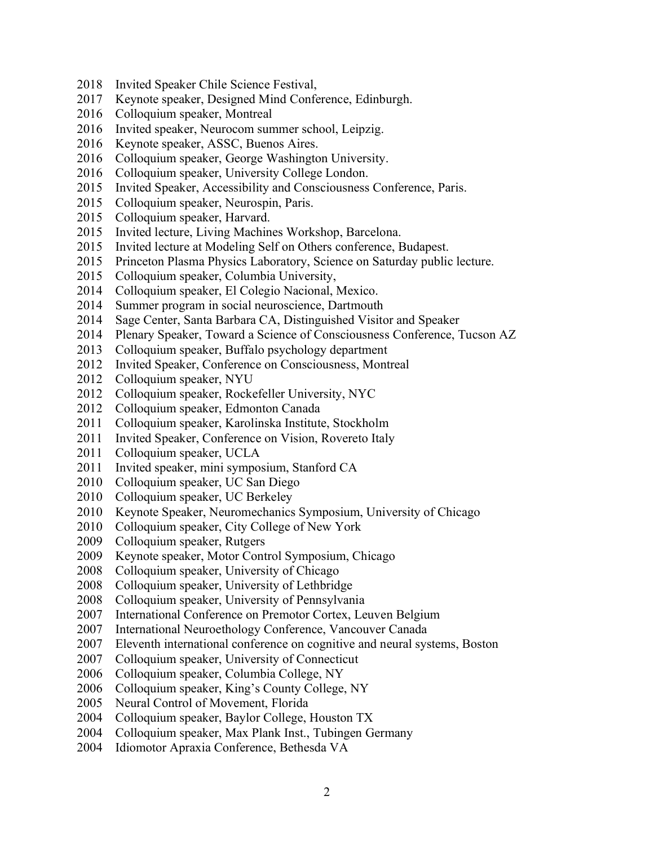- Invited Speaker Chile Science Festival,
- Keynote speaker, Designed Mind Conference, Edinburgh.
- Colloquium speaker, Montreal
- Invited speaker, Neurocom summer school, Leipzig.
- Keynote speaker, ASSC, Buenos Aires.
- Colloquium speaker, George Washington University.
- Colloquium speaker, University College London.
- Invited Speaker, Accessibility and Consciousness Conference, Paris.
- Colloquium speaker, Neurospin, Paris.
- Colloquium speaker, Harvard.
- Invited lecture, Living Machines Workshop, Barcelona.
- Invited lecture at Modeling Self on Others conference, Budapest.
- Princeton Plasma Physics Laboratory, Science on Saturday public lecture.
- Colloquium speaker, Columbia University,
- Colloquium speaker, El Colegio Nacional, Mexico.
- Summer program in social neuroscience, Dartmouth
- Sage Center, Santa Barbara CA, Distinguished Visitor and Speaker
- Plenary Speaker, Toward a Science of Consciousness Conference, Tucson AZ
- 2013 Colloquium speaker, Buffalo psychology department
- Invited Speaker, Conference on Consciousness, Montreal
- Colloquium speaker, NYU
- Colloquium speaker, Rockefeller University, NYC
- Colloquium speaker, Edmonton Canada
- Colloquium speaker, Karolinska Institute, Stockholm
- Invited Speaker, Conference on Vision, Rovereto Italy
- Colloquium speaker, UCLA
- Invited speaker, mini symposium, Stanford CA
- Colloquium speaker, UC San Diego
- Colloquium speaker, UC Berkeley
- 2010 Keynote Speaker, Neuromechanics Symposium, University of Chicago
- Colloquium speaker, City College of New York
- 2009 Colloquium speaker, Rutgers
- 2009 Keynote speaker, Motor Control Symposium, Chicago
- Colloquium speaker, University of Chicago
- Colloquium speaker, University of Lethbridge
- Colloquium speaker, University of Pennsylvania
- International Conference on Premotor Cortex, Leuven Belgium
- International Neuroethology Conference, Vancouver Canada
- Eleventh international conference on cognitive and neural systems, Boston
- Colloquium speaker, University of Connecticut
- Colloquium speaker, Columbia College, NY
- Colloquium speaker, King's County College, NY
- Neural Control of Movement, Florida
- Colloquium speaker, Baylor College, Houston TX
- Colloquium speaker, Max Plank Inst., Tubingen Germany
- Idiomotor Apraxia Conference, Bethesda VA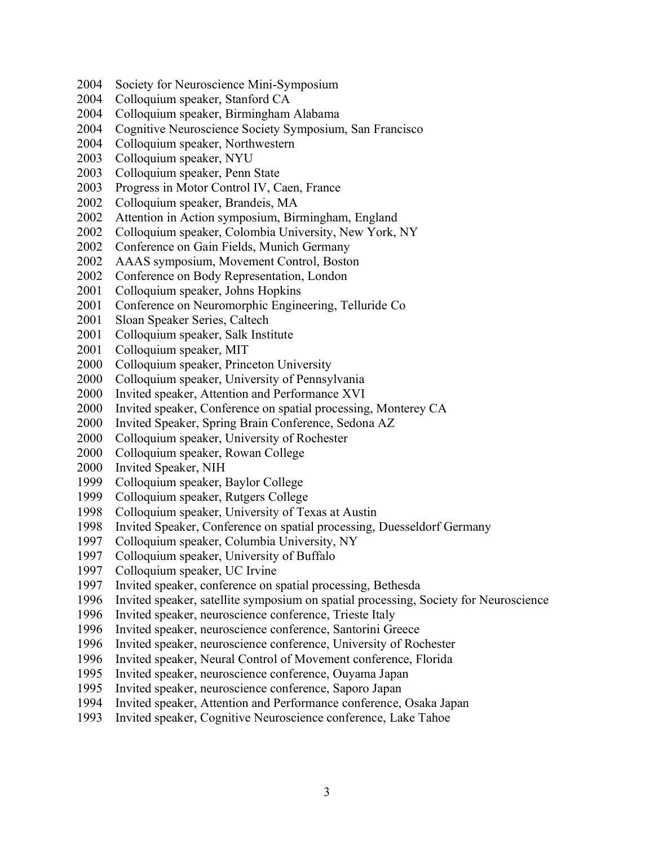- Society for Neuroscience Mini-Symposium
- Colloquium speaker, Stanford CA
- Colloquium speaker, Birmingham Alabama
- Cognitive Neuroscience Society Symposium, San Francisco
- Colloquium speaker, Northwestern
- Colloquium speaker, NYU
- Colloquium speaker, Penn State
- Progress in Motor Control IV, Caen, France
- Colloquium speaker, Brandeis, MA
- Attention in Action symposium, Birmingham, England
- Colloquium speaker, Colombia University, New York, NY
- Conference on Gain Fields, Munich Germany
- AAAS symposium, Movement Control, Boston
- Conference on Body Representation, London
- Colloquium speaker, Johns Hopkins
- Conference on Neuromorphic Engineering, Telluride Co
- Sloan Speaker Series, Caltech
- Colloquium speaker, Salk Institute
- Colloquium speaker, MIT
- Colloquium speaker, Princeton University
- Colloquium speaker, University of Pennsylvania
- Invited speaker, Attention and Performance XVI
- Invited speaker, Conference on spatial processing, Monterey CA
- Invited Speaker, Spring Brain Conference, Sedona AZ
- Colloquium speaker, University of Rochester
- 2000 Colloquium speaker, Rowan College
- Invited Speaker, NIH
- Colloquium speaker, Baylor College
- Colloquium speaker, Rutgers College
- Colloquium speaker, University of Texas at Austin
- Invited Speaker, Conference on spatial processing, Duesseldorf Germany
- Colloquium speaker, Columbia University, NY
- Colloquium speaker, University of Buffalo
- Colloquium speaker, UC Irvine
- Invited speaker, conference on spatial processing, Bethesda
- Invited speaker, satellite symposium on spatial processing, Society for Neuroscience
- Invited speaker, neuroscience conference, Trieste Italy
- 1996 Invited speaker, neuroscience conference, Santorini Greece
- Invited speaker, neuroscience conference, University of Rochester
- Invited speaker, Neural Control of Movement conference, Florida
- Invited speaker, neuroscience conference, Ouyama Japan
- Invited speaker, neuroscience conference, Saporo Japan
- Invited speaker, Attention and Performance conference, Osaka Japan
- Invited speaker, Cognitive Neuroscience conference, Lake Tahoe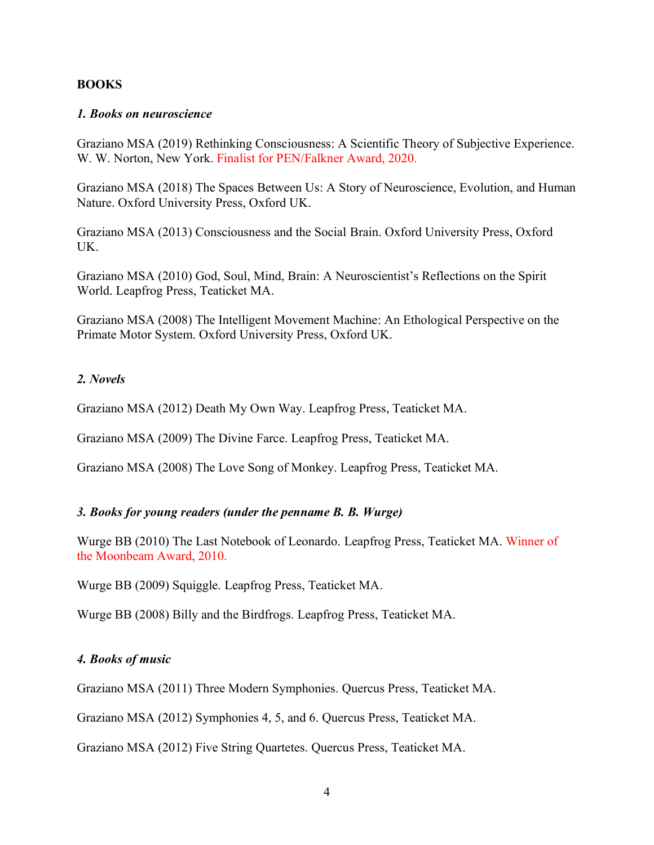### **BOOKS**

### *1. Books on neuroscience*

Graziano MSA (2019) Rethinking Consciousness: A Scientific Theory of Subjective Experience. W. W. Norton, New York. Finalist for PEN/Falkner Award, 2020.

Graziano MSA (2018) The Spaces Between Us: A Story of Neuroscience, Evolution, and Human Nature. Oxford University Press, Oxford UK.

Graziano MSA (2013) Consciousness and the Social Brain. Oxford University Press, Oxford UK.

Graziano MSA (2010) God, Soul, Mind, Brain: A Neuroscientist's Reflections on the Spirit World. Leapfrog Press, Teaticket MA.

Graziano MSA (2008) The Intelligent Movement Machine: An Ethological Perspective on the Primate Motor System. Oxford University Press, Oxford UK.

## *2. Novels*

Graziano MSA (2012) Death My Own Way. Leapfrog Press, Teaticket MA.

Graziano MSA (2009) The Divine Farce. Leapfrog Press, Teaticket MA.

Graziano MSA (2008) The Love Song of Monkey. Leapfrog Press, Teaticket MA.

# *3. Books for young readers (under the penname B. B. Wurge)*

Wurge BB (2010) The Last Notebook of Leonardo. Leapfrog Press, Teaticket MA. Winner of the Moonbeam Award, 2010.

Wurge BB (2009) Squiggle. Leapfrog Press, Teaticket MA.

Wurge BB (2008) Billy and the Birdfrogs. Leapfrog Press, Teaticket MA.

### *4. Books of music*

Graziano MSA (2011) Three Modern Symphonies. Quercus Press, Teaticket MA.

Graziano MSA (2012) Symphonies 4, 5, and 6. Quercus Press, Teaticket MA.

Graziano MSA (2012) Five String Quartetes. Quercus Press, Teaticket MA.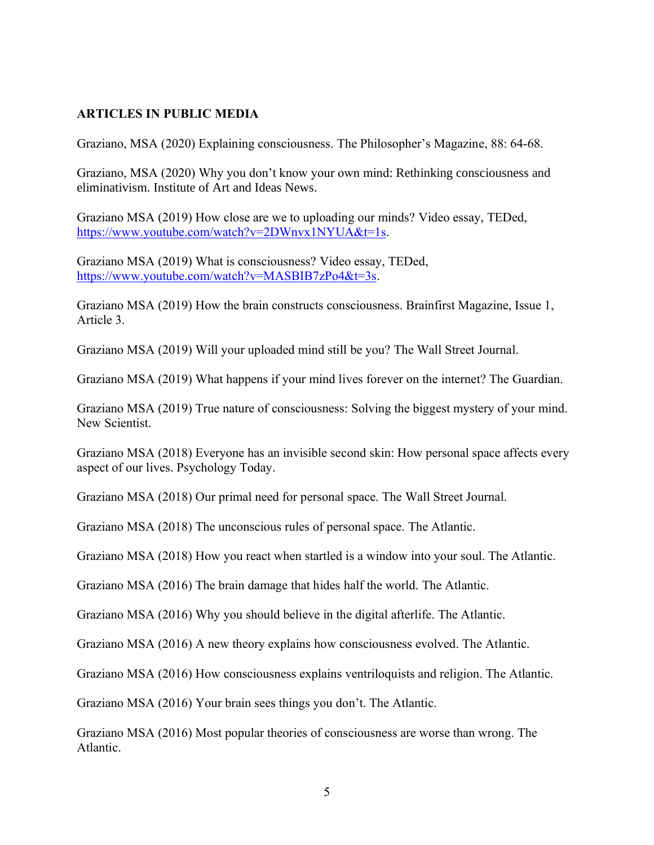# **ARTICLES IN PUBLIC MEDIA**

Graziano, MSA (2020) Explaining consciousness. The Philosopher's Magazine, 88: 64-68.

Graziano, MSA (2020) Why you don't know your own mind: Rethinking consciousness and eliminativism. Institute of Art and Ideas News.

Graziano MSA (2019) How close are we to uploading our minds? Video essay, TEDed, [https://www.youtube.com/watch?v=2DWnvx1NYUA&t=1s.](https://www.youtube.com/watch?v=2DWnvx1NYUA&t=1s)

Graziano MSA (2019) What is consciousness? Video essay, TEDed, [https://www.youtube.com/watch?v=MASBIB7zPo4&t=3s.](https://www.youtube.com/watch?v=MASBIB7zPo4&t=3s)

Graziano MSA (2019) How the brain constructs consciousness. Brainfirst Magazine, Issue 1, Article 3.

Graziano MSA (2019) Will your uploaded mind still be you? The Wall Street Journal.

Graziano MSA (2019) What happens if your mind lives forever on the internet? The Guardian.

Graziano MSA (2019) True nature of consciousness: Solving the biggest mystery of your mind. New Scientist.

Graziano MSA (2018) Everyone has an invisible second skin: How personal space affects every aspect of our lives. Psychology Today.

Graziano MSA (2018) Our primal need for personal space. The Wall Street Journal.

Graziano MSA (2018) The unconscious rules of personal space. The Atlantic.

Graziano MSA (2018) How you react when startled is a window into your soul. The Atlantic.

Graziano MSA (2016) The brain damage that hides half the world. The Atlantic.

Graziano MSA (2016) Why you should believe in the digital afterlife. The Atlantic.

Graziano MSA (2016) A new theory explains how consciousness evolved. The Atlantic.

Graziano MSA (2016) How consciousness explains ventriloquists and religion. The Atlantic.

Graziano MSA (2016) Your brain sees things you don't. The Atlantic.

Graziano MSA (2016) Most popular theories of consciousness are worse than wrong. The Atlantic.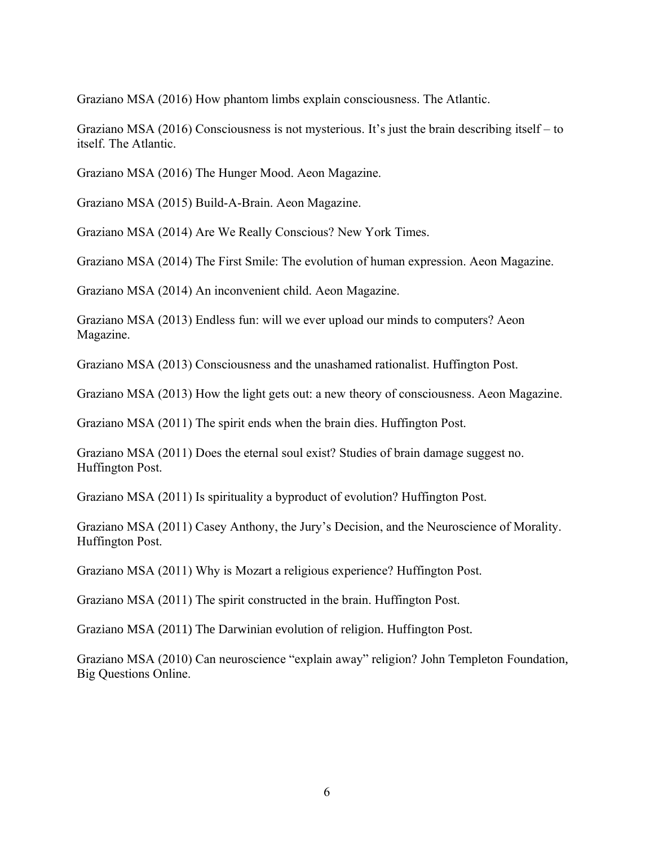Graziano MSA (2016) How phantom limbs explain consciousness. The Atlantic.

Graziano MSA (2016) Consciousness is not mysterious. It's just the brain describing itself – to itself. The Atlantic.

Graziano MSA (2016) The Hunger Mood. Aeon Magazine.

Graziano MSA (2015) Build-A-Brain. Aeon Magazine.

Graziano MSA (2014) Are We Really Conscious? New York Times.

Graziano MSA (2014) The First Smile: The evolution of human expression. Aeon Magazine.

Graziano MSA (2014) An inconvenient child. Aeon Magazine.

Graziano MSA (2013) Endless fun: will we ever upload our minds to computers? Aeon Magazine.

Graziano MSA (2013) Consciousness and the unashamed rationalist. Huffington Post.

Graziano MSA (2013) How the light gets out: a new theory of consciousness. Aeon Magazine.

Graziano MSA (2011) The spirit ends when the brain dies. Huffington Post.

Graziano MSA (2011) Does the eternal soul exist? Studies of brain damage suggest no. Huffington Post.

Graziano MSA (2011) Is spirituality a byproduct of evolution? Huffington Post.

Graziano MSA (2011) Casey Anthony, the Jury's Decision, and the Neuroscience of Morality. Huffington Post.

Graziano MSA (2011) Why is Mozart a religious experience? Huffington Post.

Graziano MSA (2011) The spirit constructed in the brain. Huffington Post.

Graziano MSA (2011) The Darwinian evolution of religion. Huffington Post.

Graziano MSA (2010) Can neuroscience "explain away" religion? John Templeton Foundation, Big Questions Online.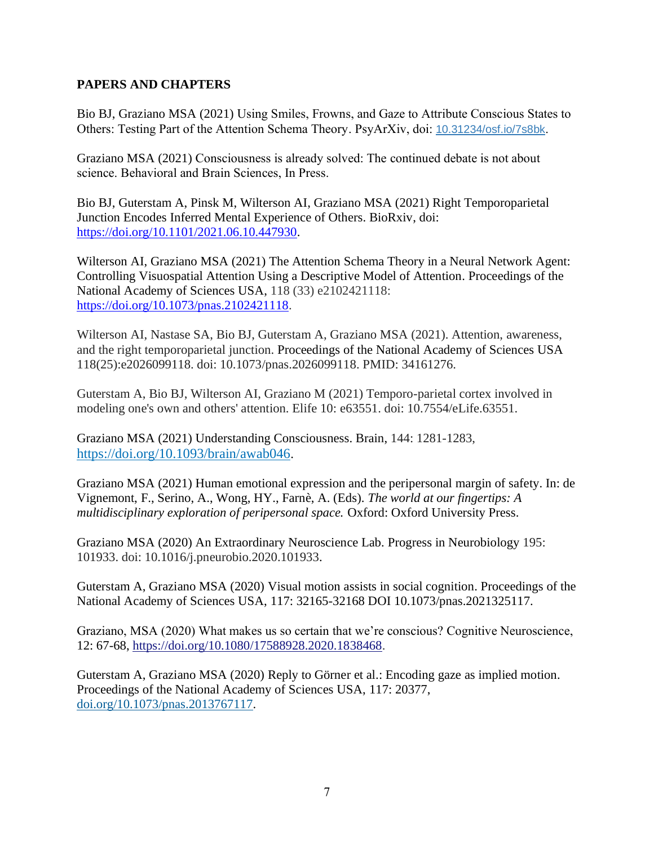# **PAPERS AND CHAPTERS**

Bio BJ, Graziano MSA (2021) Using Smiles, Frowns, and Gaze to Attribute Conscious States to Others: Testing Part of the Attention Schema Theory. PsyArXiv, doi: [10.31234/osf.io/7s8bk](https://doi.org/10.31234/osf.io/7s8bk).

Graziano MSA (2021) Consciousness is already solved: The continued debate is not about science. Behavioral and Brain Sciences, In Press.

Bio BJ, Guterstam A, Pinsk M, Wilterson AI, Graziano MSA (2021) Right Temporoparietal Junction Encodes Inferred Mental Experience of Others. BioRxiv, doi: [https://doi.org/10.1101/2021.06.10.447930.](https://doi.org/10.1101/2021.06.10.447930)

Wilterson AI, Graziano MSA (2021) The Attention Schema Theory in a Neural Network Agent: Controlling Visuospatial Attention Using a Descriptive Model of Attention. Proceedings of the National Academy of Sciences USA, 118 (33) e2102421118: [https://doi.org/10.1073/pnas.2102421118.](https://doi.org/10.1073/pnas.2102421118)

Wilterson AI, Nastase SA, Bio BJ, Guterstam A, Graziano MSA (2021). Attention, awareness, and the right temporoparietal junction. Proceedings of the National Academy of Sciences USA 118(25):e2026099118. doi: 10.1073/pnas.2026099118. PMID: 34161276.

Guterstam A, Bio BJ, Wilterson AI, Graziano M (2021) Temporo-parietal cortex involved in modeling one's own and others' attention. Elife 10: e63551. doi: 10.7554/eLife.63551.

Graziano MSA (2021) Understanding Consciousness. Brain, 144: 1281-1283, <https://doi.org/10.1093/brain/awab046>.

Graziano MSA (2021) Human emotional expression and the peripersonal margin of safety. In: de Vignemont, F., Serino, A., Wong, HY., Farnè, A. (Eds). *The world at our fingertips: A multidisciplinary exploration of peripersonal space.* Oxford: Oxford University Press.

Graziano MSA (2020) An Extraordinary Neuroscience Lab. Progress in Neurobiology 195: 101933. doi: 10.1016/j.pneurobio.2020.101933.

Guterstam A, Graziano MSA (2020) Visual motion assists in social cognition. Proceedings of the National Academy of Sciences USA, 117: 32165-32168 DOI 10.1073/pnas.2021325117.

Graziano, MSA (2020) What makes us so certain that we're conscious? Cognitive Neuroscience, 12: 67-68, [https://doi.org/10.1080/17588928.2020.1838468.](https://doi.org/10.1080/17588928.2020.1838468)

Guterstam A, Graziano MSA (2020) Reply to Görner et al.: Encoding gaze as implied motion. Proceedings of the National Academy of Sciences USA, 117: 20377, [doi.org/10.1073/pnas.2013767117.](https://doi.org/10.1073/pnas.2013767117)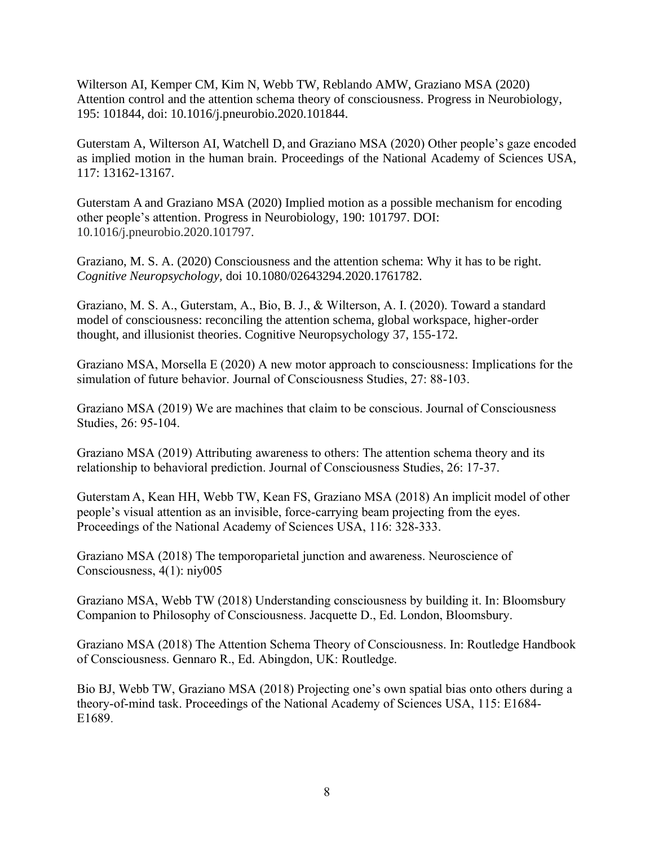Wilterson AI, Kemper CM, Kim N, Webb TW, Reblando AMW, Graziano MSA (2020) Attention control and the attention schema theory of consciousness. Progress in Neurobiology, 195: 101844, doi: 10.1016/j.pneurobio.2020.101844.

Guterstam A, Wilterson AI, Watchell D, and Graziano MSA (2020) Other people's gaze encoded as implied motion in the human brain. Proceedings of the National Academy of Sciences USA, 117: 13162-13167.

Guterstam A and Graziano MSA (2020) Implied motion as a possible mechanism for encoding other people's attention. Progress in Neurobiology, 190: 101797. DOI: 10.1016/j.pneurobio.2020.101797.

Graziano, M. S. A. (2020) Consciousness and the attention schema: Why it has to be right. *Cognitive Neuropsychology,* doi 10.1080/02643294.2020.1761782.

Graziano, M. S. A., Guterstam, A., Bio, B. J., & Wilterson, A. I. (2020). Toward a standard model of consciousness: reconciling the attention schema, global workspace, higher-order thought, and illusionist theories. Cognitive Neuropsychology 37, 155-172.

Graziano MSA, Morsella E (2020) A new motor approach to consciousness: Implications for the simulation of future behavior. Journal of Consciousness Studies, 27: 88-103.

Graziano MSA (2019) We are machines that claim to be conscious. Journal of Consciousness Studies, 26: 95-104.

Graziano MSA (2019) Attributing awareness to others: The attention schema theory and its relationship to behavioral prediction. Journal of Consciousness Studies, 26: 17-37.

Guterstam A, Kean HH, Webb TW, Kean FS, Graziano MSA (2018) An implicit model of other people's visual attention as an invisible, force-carrying beam projecting from the eyes. Proceedings of the National Academy of Sciences USA, 116: 328-333.

Graziano MSA (2018) The temporoparietal junction and awareness. Neuroscience of Consciousness, 4(1): niy005

Graziano MSA, Webb TW (2018) Understanding consciousness by building it. In: Bloomsbury Companion to Philosophy of Consciousness. Jacquette D., Ed. London, Bloomsbury.

Graziano MSA (2018) The Attention Schema Theory of Consciousness. In: Routledge Handbook of Consciousness. Gennaro R., Ed. Abingdon, UK: Routledge.

Bio BJ, Webb TW, Graziano MSA (2018) Projecting one's own spatial bias onto others during a theory-of-mind task. Proceedings of the National Academy of Sciences USA, 115: E1684- E1689.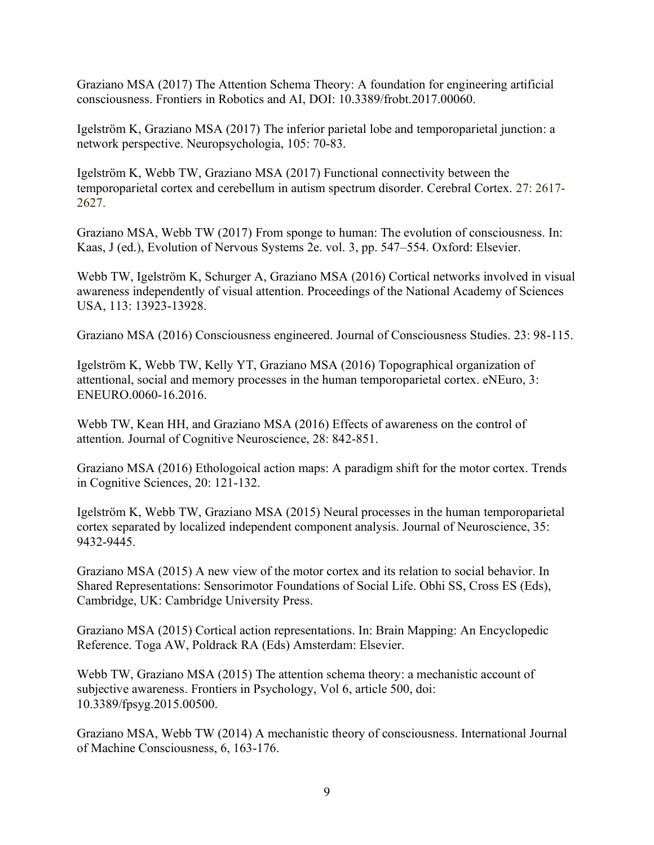Graziano MSA (2017) The Attention Schema Theory: A foundation for engineering artificial consciousness. Frontiers in Robotics and AI, DOI: 10.3389/frobt.2017.00060.

Igelström K, Graziano MSA (2017) The inferior parietal lobe and temporoparietal junction: a network perspective. Neuropsychologia, 105: 70-83.

Igelström K, Webb TW, Graziano MSA (2017) Functional connectivity between the temporoparietal cortex and cerebellum in autism spectrum disorder. Cerebral Cortex. 27: 2617- 2627.

Graziano MSA, Webb TW (2017) From sponge to human: The evolution of consciousness. In: Kaas, J (ed.), Evolution of Nervous Systems 2e. vol. 3, pp. 547–554. Oxford: Elsevier.

Webb TW, Igelström K, Schurger A, Graziano MSA (2016) Cortical networks involved in visual awareness independently of visual attention. Proceedings of the National Academy of Sciences USA, 113: 13923-13928.

Graziano MSA (2016) Consciousness engineered. Journal of Consciousness Studies. 23: 98-115.

Igelström K, Webb TW, Kelly YT, Graziano MSA (2016) Topographical organization of attentional, social and memory processes in the human temporoparietal cortex. eNEuro, 3: ENEURO.0060-16.2016.

Webb TW, Kean HH, and Graziano MSA (2016) Effects of awareness on the control of attention. Journal of Cognitive Neuroscience, 28: 842-851.

Graziano MSA (2016) Ethologoical action maps: A paradigm shift for the motor cortex. Trends in Cognitive Sciences, 20: 121-132.

Igelström K, Webb TW, Graziano MSA (2015) Neural processes in the human temporoparietal cortex separated by localized independent component analysis. Journal of Neuroscience, 35: 9432-9445.

Graziano MSA (2015) A new view of the motor cortex and its relation to social behavior. In Shared Representations: Sensorimotor Foundations of Social Life. Obhi SS, Cross ES (Eds), Cambridge, UK: Cambridge University Press.

Graziano MSA (2015) Cortical action representations. In: Brain Mapping: An Encyclopedic Reference. Toga AW, Poldrack RA (Eds) Amsterdam: Elsevier.

Webb TW, Graziano MSA (2015) The attention schema theory: a mechanistic account of subjective awareness. Frontiers in Psychology, Vol 6, article 500, doi: 10.3389/fpsyg.2015.00500.

Graziano MSA, Webb TW (2014) A mechanistic theory of consciousness. International Journal of Machine Consciousness, 6, 163-176.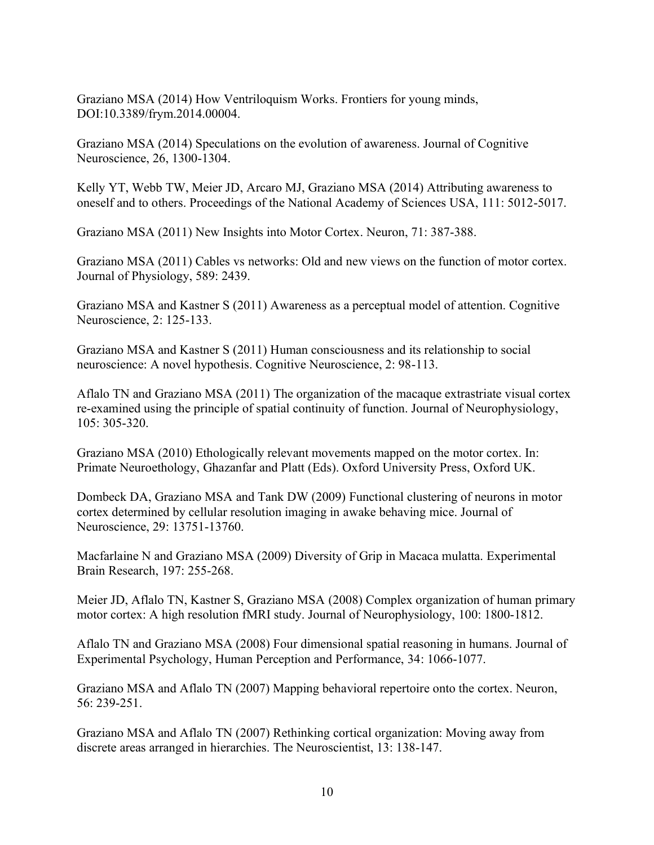Graziano MSA (2014) How Ventriloquism Works. Frontiers for young minds, DOI:10.3389/frym.2014.00004.

Graziano MSA (2014) Speculations on the evolution of awareness. Journal of Cognitive Neuroscience, 26, 1300-1304.

Kelly YT, Webb TW, Meier JD, Arcaro MJ, Graziano MSA (2014) Attributing awareness to oneself and to others. Proceedings of the National Academy of Sciences USA, 111: 5012-5017.

Graziano MSA (2011) New Insights into Motor Cortex. Neuron, 71: 387-388.

Graziano MSA (2011) Cables vs networks: Old and new views on the function of motor cortex. Journal of Physiology, 589: 2439.

Graziano MSA and Kastner S (2011) Awareness as a perceptual model of attention. Cognitive Neuroscience, 2: 125-133.

Graziano MSA and Kastner S (2011) Human consciousness and its relationship to social neuroscience: A novel hypothesis. Cognitive Neuroscience, 2: 98-113.

Aflalo TN and Graziano MSA (2011) The organization of the macaque extrastriate visual cortex re-examined using the principle of spatial continuity of function. Journal of Neurophysiology, 105: 305-320.

Graziano MSA (2010) Ethologically relevant movements mapped on the motor cortex. In: Primate Neuroethology, Ghazanfar and Platt (Eds). Oxford University Press, Oxford UK.

Dombeck DA, Graziano MSA and Tank DW (2009) Functional clustering of neurons in motor cortex determined by cellular resolution imaging in awake behaving mice. Journal of Neuroscience, 29: 13751-13760.

Macfarlaine N and Graziano MSA (2009) Diversity of Grip in Macaca mulatta. Experimental Brain Research, 197: 255-268.

Meier JD, Aflalo TN, Kastner S, Graziano MSA (2008) Complex organization of human primary motor cortex: A high resolution fMRI study. Journal of Neurophysiology, 100: 1800-1812.

Aflalo TN and Graziano MSA (2008) Four dimensional spatial reasoning in humans. Journal of Experimental Psychology, Human Perception and Performance, 34: 1066-1077.

Graziano MSA and Aflalo TN (2007) Mapping behavioral repertoire onto the cortex. Neuron, 56: 239-251.

Graziano MSA and Aflalo TN (2007) Rethinking cortical organization: Moving away from discrete areas arranged in hierarchies. The Neuroscientist, 13: 138-147.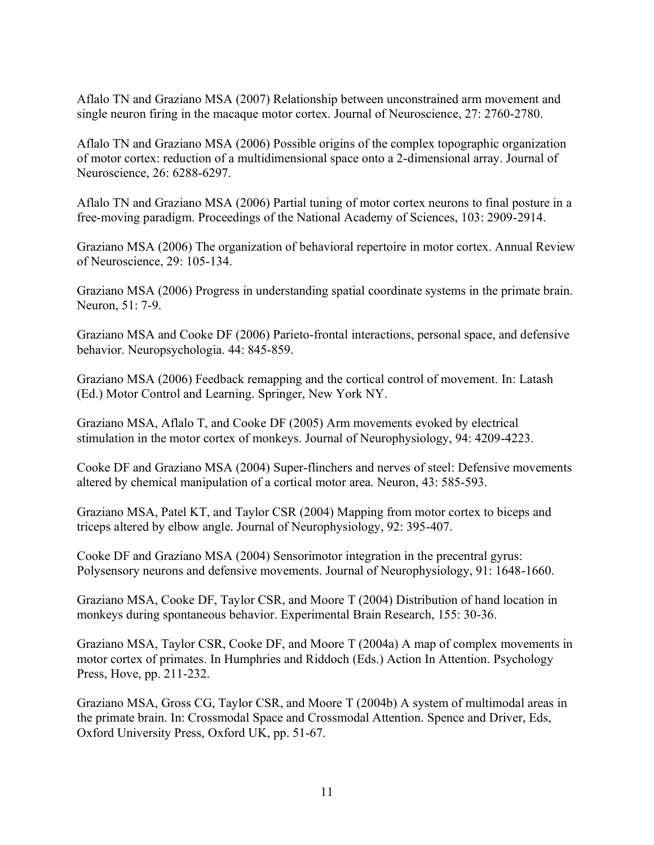Aflalo TN and Graziano MSA (2007) Relationship between unconstrained arm movement and single neuron firing in the macaque motor cortex. Journal of Neuroscience, 27: 2760-2780.

Aflalo TN and Graziano MSA (2006) Possible origins of the complex topographic organization of motor cortex: reduction of a multidimensional space onto a 2-dimensional array. Journal of Neuroscience, 26: 6288-6297.

Aflalo TN and Graziano MSA (2006) Partial tuning of motor cortex neurons to final posture in a free-moving paradigm. Proceedings of the National Academy of Sciences, 103: 2909-2914.

Graziano MSA (2006) The organization of behavioral repertoire in motor cortex. Annual Review of Neuroscience, 29: 105-134.

Graziano MSA (2006) Progress in understanding spatial coordinate systems in the primate brain. Neuron, 51: 7-9.

Graziano MSA and Cooke DF (2006) Parieto-frontal interactions, personal space, and defensive behavior. Neuropsychologia. 44: 845-859.

Graziano MSA (2006) Feedback remapping and the cortical control of movement. In: Latash (Ed.) Motor Control and Learning. Springer, New York NY.

Graziano MSA, Aflalo T, and Cooke DF (2005) Arm movements evoked by electrical stimulation in the motor cortex of monkeys. Journal of Neurophysiology, 94: 4209-4223.

Cooke DF and Graziano MSA (2004) Super-flinchers and nerves of steel: Defensive movements altered by chemical manipulation of a cortical motor area. Neuron, 43: 585-593.

Graziano MSA, Patel KT, and Taylor CSR (2004) Mapping from motor cortex to biceps and triceps altered by elbow angle. Journal of Neurophysiology, 92: 395-407.

Cooke DF and Graziano MSA (2004) Sensorimotor integration in the precentral gyrus: Polysensory neurons and defensive movements. Journal of Neurophysiology, 91: 1648-1660.

Graziano MSA, Cooke DF, Taylor CSR, and Moore T (2004) Distribution of hand location in monkeys during spontaneous behavior. Experimental Brain Research, 155: 30-36.

Graziano MSA, Taylor CSR, Cooke DF, and Moore T (2004a) A map of complex movements in motor cortex of primates. In Humphries and Riddoch (Eds.) Action In Attention. Psychology Press, Hove, pp. 211-232.

Graziano MSA, Gross CG, Taylor CSR, and Moore T (2004b) A system of multimodal areas in the primate brain. In: Crossmodal Space and Crossmodal Attention. Spence and Driver, Eds, Oxford University Press, Oxford UK, pp. 51-67.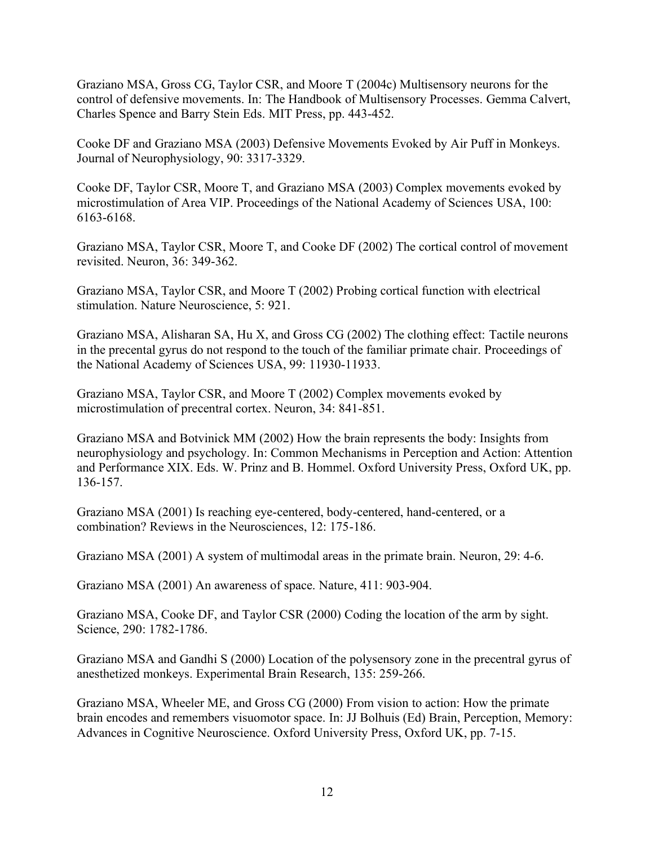Graziano MSA, Gross CG, Taylor CSR, and Moore T (2004c) Multisensory neurons for the control of defensive movements. In: The Handbook of Multisensory Processes. Gemma Calvert, Charles Spence and Barry Stein Eds. MIT Press, pp. 443-452.

Cooke DF and Graziano MSA (2003) Defensive Movements Evoked by Air Puff in Monkeys. Journal of Neurophysiology, 90: 3317-3329.

Cooke DF, Taylor CSR, Moore T, and Graziano MSA (2003) Complex movements evoked by microstimulation of Area VIP. Proceedings of the National Academy of Sciences USA, 100: 6163-6168.

Graziano MSA, Taylor CSR, Moore T, and Cooke DF (2002) The cortical control of movement revisited. Neuron, 36: 349-362.

Graziano MSA, Taylor CSR, and Moore T (2002) Probing cortical function with electrical stimulation. Nature Neuroscience, 5: 921.

Graziano MSA, Alisharan SA, Hu X, and Gross CG (2002) The clothing effect: Tactile neurons in the precental gyrus do not respond to the touch of the familiar primate chair. Proceedings of the National Academy of Sciences USA, 99: 11930-11933.

Graziano MSA, Taylor CSR, and Moore T (2002) Complex movements evoked by microstimulation of precentral cortex. Neuron, 34: 841-851.

Graziano MSA and Botvinick MM (2002) How the brain represents the body: Insights from neurophysiology and psychology. In: Common Mechanisms in Perception and Action: Attention and Performance XIX. Eds. W. Prinz and B. Hommel. Oxford University Press, Oxford UK, pp. 136-157.

Graziano MSA (2001) Is reaching eye-centered, body-centered, hand-centered, or a combination? Reviews in the Neurosciences, 12: 175-186.

Graziano MSA (2001) A system of multimodal areas in the primate brain. Neuron, 29: 4-6.

Graziano MSA (2001) An awareness of space. Nature, 411: 903-904.

Graziano MSA, Cooke DF, and Taylor CSR (2000) Coding the location of the arm by sight. Science, 290: 1782-1786.

Graziano MSA and Gandhi S (2000) Location of the polysensory zone in the precentral gyrus of anesthetized monkeys. Experimental Brain Research, 135: 259-266.

Graziano MSA, Wheeler ME, and Gross CG (2000) From vision to action: How the primate brain encodes and remembers visuomotor space. In: JJ Bolhuis (Ed) Brain, Perception, Memory: Advances in Cognitive Neuroscience. Oxford University Press, Oxford UK, pp. 7-15.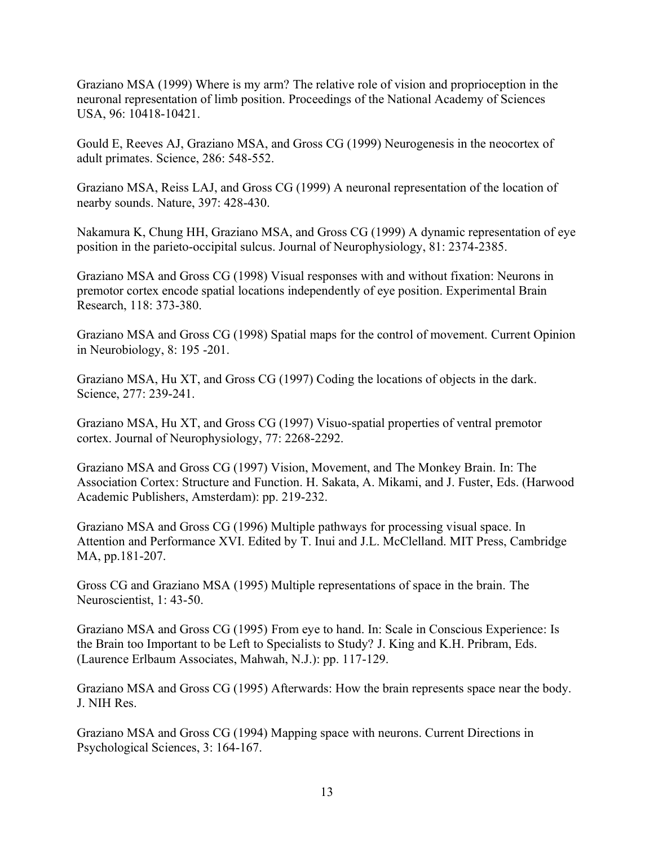Graziano MSA (1999) Where is my arm? The relative role of vision and proprioception in the neuronal representation of limb position. Proceedings of the National Academy of Sciences USA, 96: 10418-10421.

Gould E, Reeves AJ, Graziano MSA, and Gross CG (1999) Neurogenesis in the neocortex of adult primates. Science, 286: 548-552.

Graziano MSA, Reiss LAJ, and Gross CG (1999) A neuronal representation of the location of nearby sounds. Nature, 397: 428-430.

Nakamura K, Chung HH, Graziano MSA, and Gross CG (1999) A dynamic representation of eye position in the parieto-occipital sulcus. Journal of Neurophysiology, 81: 2374-2385.

Graziano MSA and Gross CG (1998) Visual responses with and without fixation: Neurons in premotor cortex encode spatial locations independently of eye position. Experimental Brain Research, 118: 373-380.

Graziano MSA and Gross CG (1998) Spatial maps for the control of movement. Current Opinion in Neurobiology, 8: 195 -201.

Graziano MSA, Hu XT, and Gross CG (1997) Coding the locations of objects in the dark. Science, 277: 239-241.

Graziano MSA, Hu XT, and Gross CG (1997) Visuo-spatial properties of ventral premotor cortex. Journal of Neurophysiology, 77: 2268-2292.

Graziano MSA and Gross CG (1997) Vision, Movement, and The Monkey Brain. In: The Association Cortex: Structure and Function. H. Sakata, A. Mikami, and J. Fuster, Eds. (Harwood Academic Publishers, Amsterdam): pp. 219-232.

Graziano MSA and Gross CG (1996) Multiple pathways for processing visual space. In Attention and Performance XVI. Edited by T. Inui and J.L. McClelland. MIT Press, Cambridge MA, pp.181-207.

Gross CG and Graziano MSA (1995) Multiple representations of space in the brain. The Neuroscientist, 1: 43-50.

Graziano MSA and Gross CG (1995) From eye to hand. In: Scale in Conscious Experience: Is the Brain too Important to be Left to Specialists to Study? J. King and K.H. Pribram, Eds. (Laurence Erlbaum Associates, Mahwah, N.J.): pp. 117-129.

Graziano MSA and Gross CG (1995) Afterwards: How the brain represents space near the body. J. NIH Res.

Graziano MSA and Gross CG (1994) Mapping space with neurons. Current Directions in Psychological Sciences, 3: 164-167.